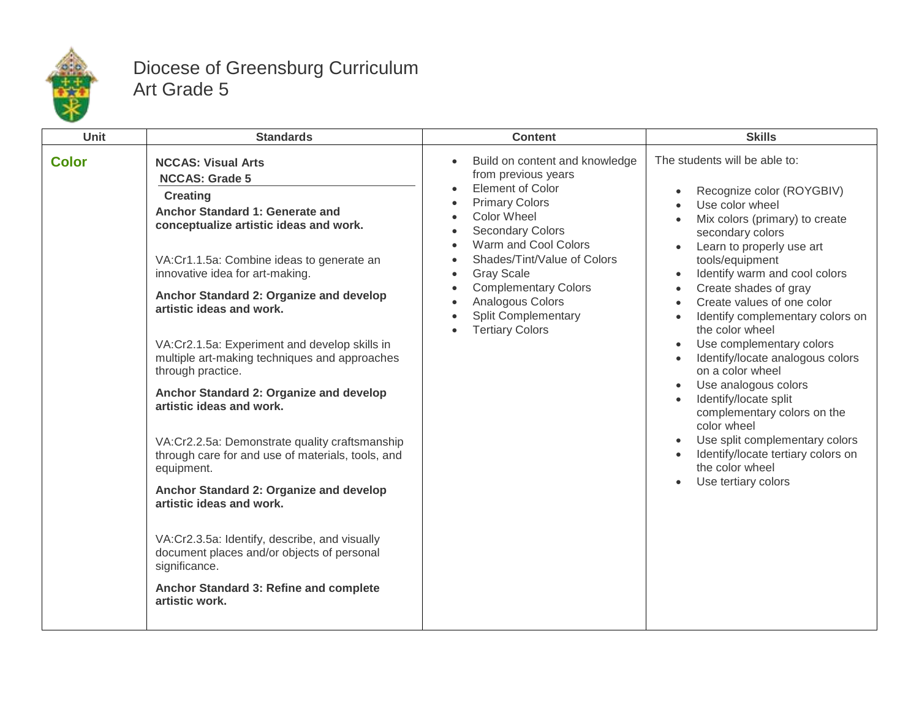

## Diocese of Greensburg Curriculum Art Grade 5

| <b>Unit</b>  | <b>Standards</b>                                                                                                                                                                                                                                                                                                                                                                                                                                                                                                                                                                                                                                                                                                                                                                                                                                                                | <b>Content</b>                                                                                                                                                                                                                                                                                                                                                 | <b>Skills</b>                                                                                                                                                                                                                                                                                                                                                                                                                                                                                                                                                                                                                           |
|--------------|---------------------------------------------------------------------------------------------------------------------------------------------------------------------------------------------------------------------------------------------------------------------------------------------------------------------------------------------------------------------------------------------------------------------------------------------------------------------------------------------------------------------------------------------------------------------------------------------------------------------------------------------------------------------------------------------------------------------------------------------------------------------------------------------------------------------------------------------------------------------------------|----------------------------------------------------------------------------------------------------------------------------------------------------------------------------------------------------------------------------------------------------------------------------------------------------------------------------------------------------------------|-----------------------------------------------------------------------------------------------------------------------------------------------------------------------------------------------------------------------------------------------------------------------------------------------------------------------------------------------------------------------------------------------------------------------------------------------------------------------------------------------------------------------------------------------------------------------------------------------------------------------------------------|
| <b>Color</b> | <b>NCCAS: Visual Arts</b><br><b>NCCAS: Grade 5</b><br><b>Creating</b><br>Anchor Standard 1: Generate and<br>conceptualize artistic ideas and work.<br>VA:Cr1.1.5a: Combine ideas to generate an<br>innovative idea for art-making.<br>Anchor Standard 2: Organize and develop<br>artistic ideas and work.<br>VA:Cr2.1.5a: Experiment and develop skills in<br>multiple art-making techniques and approaches<br>through practice.<br>Anchor Standard 2: Organize and develop<br>artistic ideas and work.<br>VA:Cr2.2.5a: Demonstrate quality craftsmanship<br>through care for and use of materials, tools, and<br>equipment.<br>Anchor Standard 2: Organize and develop<br>artistic ideas and work.<br>VA:Cr2.3.5a: Identify, describe, and visually<br>document places and/or objects of personal<br>significance.<br>Anchor Standard 3: Refine and complete<br>artistic work. | Build on content and knowledge<br>from previous years<br><b>Element of Color</b><br><b>Primary Colors</b><br><b>Color Wheel</b><br><b>Secondary Colors</b><br>Warm and Cool Colors<br>$\bullet$<br>Shades/Tint/Value of Colors<br><b>Gray Scale</b><br><b>Complementary Colors</b><br>Analogous Colors<br><b>Split Complementary</b><br><b>Tertiary Colors</b> | The students will be able to:<br>Recognize color (ROYGBIV)<br>Use color wheel<br>Mix colors (primary) to create<br>secondary colors<br>Learn to properly use art<br>tools/equipment<br>Identify warm and cool colors<br>Create shades of gray<br>Create values of one color<br>Identify complementary colors on<br>the color wheel<br>Use complementary colors<br>Identify/locate analogous colors<br>on a color wheel<br>Use analogous colors<br>Identify/locate split<br>complementary colors on the<br>color wheel<br>Use split complementary colors<br>Identify/locate tertiary colors on<br>the color wheel<br>Use tertiary colors |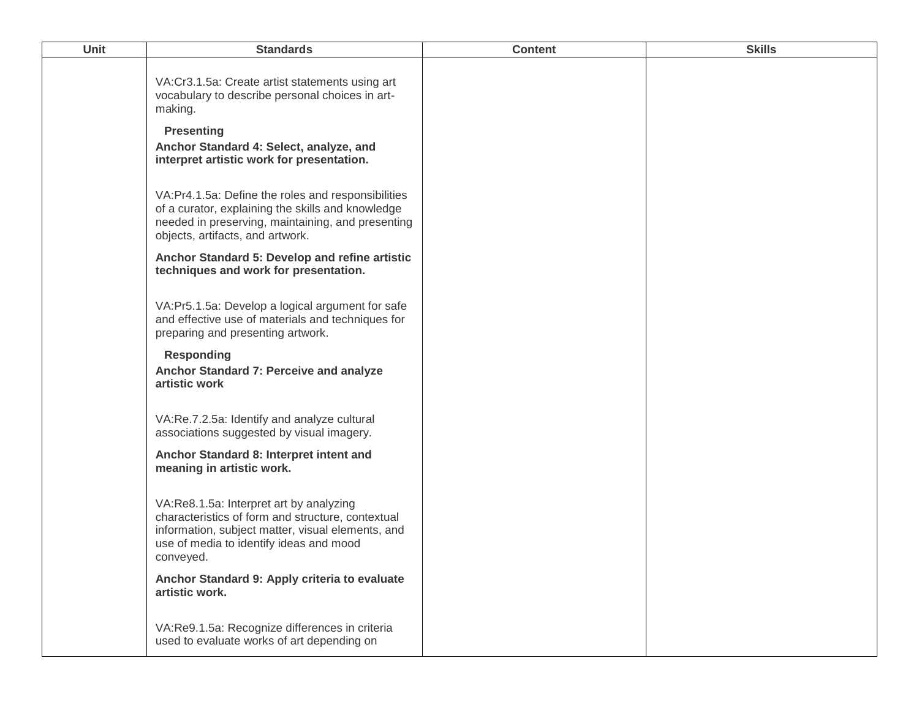| <b>Unit</b> | <b>Standards</b>                                                                                                                                                                                          | <b>Content</b> | <b>Skills</b> |
|-------------|-----------------------------------------------------------------------------------------------------------------------------------------------------------------------------------------------------------|----------------|---------------|
|             | VA:Cr3.1.5a: Create artist statements using art<br>vocabulary to describe personal choices in art-<br>making.                                                                                             |                |               |
|             | <b>Presenting</b><br>Anchor Standard 4: Select, analyze, and<br>interpret artistic work for presentation.                                                                                                 |                |               |
|             | VA:Pr4.1.5a: Define the roles and responsibilities<br>of a curator, explaining the skills and knowledge<br>needed in preserving, maintaining, and presenting<br>objects, artifacts, and artwork.          |                |               |
|             | Anchor Standard 5: Develop and refine artistic<br>techniques and work for presentation.                                                                                                                   |                |               |
|             | VA:Pr5.1.5a: Develop a logical argument for safe<br>and effective use of materials and techniques for<br>preparing and presenting artwork.                                                                |                |               |
|             | <b>Responding</b><br>Anchor Standard 7: Perceive and analyze<br>artistic work                                                                                                                             |                |               |
|             | VA:Re.7.2.5a: Identify and analyze cultural<br>associations suggested by visual imagery.                                                                                                                  |                |               |
|             | Anchor Standard 8: Interpret intent and<br>meaning in artistic work.                                                                                                                                      |                |               |
|             | VA:Re8.1.5a: Interpret art by analyzing<br>characteristics of form and structure, contextual<br>information, subject matter, visual elements, and<br>use of media to identify ideas and mood<br>conveyed. |                |               |
|             | Anchor Standard 9: Apply criteria to evaluate<br>artistic work.                                                                                                                                           |                |               |
|             | VA:Re9.1.5a: Recognize differences in criteria<br>used to evaluate works of art depending on                                                                                                              |                |               |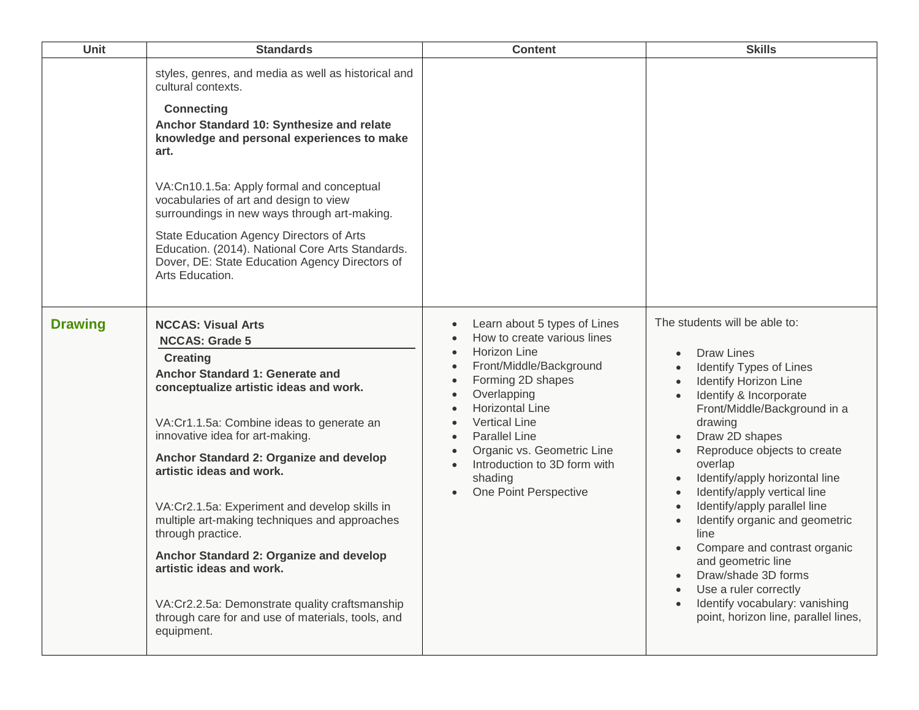| Unit           | <b>Standards</b>                                                                                                                                                                                                                                                                                                                                                                                                                                                                                                                                                                                                             | <b>Content</b>                                                                                                                                                                                                                                                                                                                                                                          | <b>Skills</b>                                                                                                                                                                                                                                                                                                                                                                                                                                                                                                                                                       |
|----------------|------------------------------------------------------------------------------------------------------------------------------------------------------------------------------------------------------------------------------------------------------------------------------------------------------------------------------------------------------------------------------------------------------------------------------------------------------------------------------------------------------------------------------------------------------------------------------------------------------------------------------|-----------------------------------------------------------------------------------------------------------------------------------------------------------------------------------------------------------------------------------------------------------------------------------------------------------------------------------------------------------------------------------------|---------------------------------------------------------------------------------------------------------------------------------------------------------------------------------------------------------------------------------------------------------------------------------------------------------------------------------------------------------------------------------------------------------------------------------------------------------------------------------------------------------------------------------------------------------------------|
|                | styles, genres, and media as well as historical and<br>cultural contexts.<br><b>Connecting</b><br>Anchor Standard 10: Synthesize and relate<br>knowledge and personal experiences to make<br>art.<br>VA:Cn10.1.5a: Apply formal and conceptual<br>vocabularies of art and design to view<br>surroundings in new ways through art-making.<br>State Education Agency Directors of Arts<br>Education. (2014). National Core Arts Standards.<br>Dover, DE: State Education Agency Directors of<br>Arts Education.                                                                                                                |                                                                                                                                                                                                                                                                                                                                                                                         |                                                                                                                                                                                                                                                                                                                                                                                                                                                                                                                                                                     |
| <b>Drawing</b> | <b>NCCAS: Visual Arts</b><br><b>NCCAS: Grade 5</b><br><b>Creating</b><br>Anchor Standard 1: Generate and<br>conceptualize artistic ideas and work.<br>VA:Cr1.1.5a: Combine ideas to generate an<br>innovative idea for art-making.<br>Anchor Standard 2: Organize and develop<br>artistic ideas and work.<br>VA:Cr2.1.5a: Experiment and develop skills in<br>multiple art-making techniques and approaches<br>through practice.<br>Anchor Standard 2: Organize and develop<br>artistic ideas and work.<br>VA:Cr2.2.5a: Demonstrate quality craftsmanship<br>through care for and use of materials, tools, and<br>equipment. | Learn about 5 types of Lines<br>$\bullet$<br>How to create various lines<br>Horizon Line<br>$\bullet$<br>Front/Middle/Background<br>$\bullet$<br>Forming 2D shapes<br>$\bullet$<br>Overlapping<br>$\bullet$<br><b>Horizontal Line</b><br><b>Vertical Line</b><br><b>Parallel Line</b><br>Organic vs. Geometric Line<br>Introduction to 3D form with<br>shading<br>One Point Perspective | The students will be able to:<br><b>Draw Lines</b><br>Identify Types of Lines<br>Identify Horizon Line<br>Identify & Incorporate<br>Front/Middle/Background in a<br>drawing<br>Draw 2D shapes<br>Reproduce objects to create<br>overlap<br>Identify/apply horizontal line<br>Identify/apply vertical line<br>Identify/apply parallel line<br>Identify organic and geometric<br>line<br>Compare and contrast organic<br>and geometric line<br>Draw/shade 3D forms<br>Use a ruler correctly<br>Identify vocabulary: vanishing<br>point, horizon line, parallel lines, |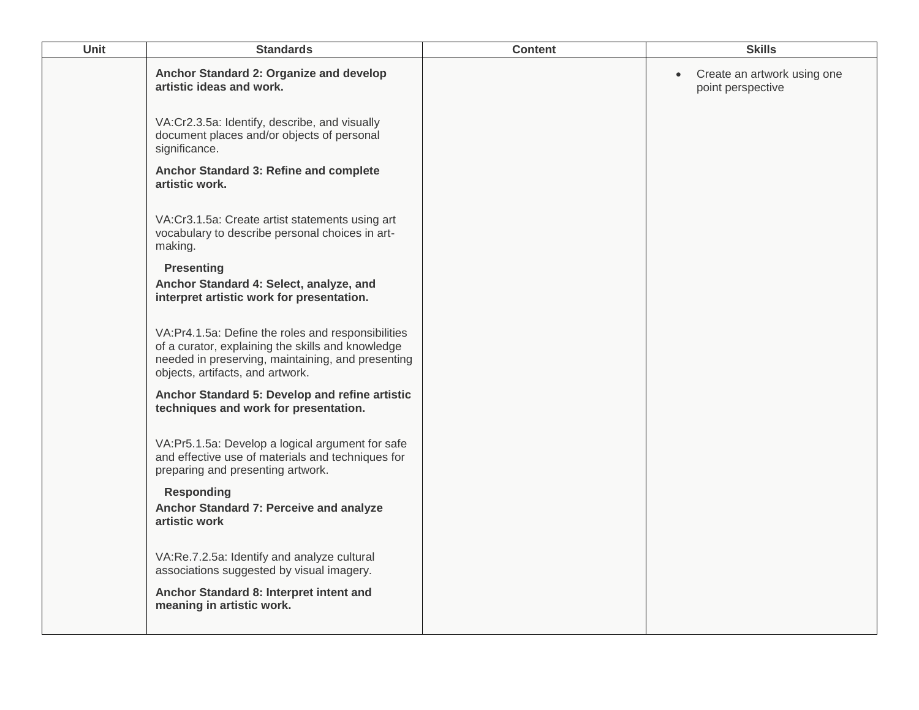| Unit | <b>Standards</b>                                                                                                                                                                                 | <b>Content</b> | <b>Skills</b>                                                 |
|------|--------------------------------------------------------------------------------------------------------------------------------------------------------------------------------------------------|----------------|---------------------------------------------------------------|
|      | Anchor Standard 2: Organize and develop<br>artistic ideas and work.                                                                                                                              |                | Create an artwork using one<br>$\bullet$<br>point perspective |
|      | VA:Cr2.3.5a: Identify, describe, and visually<br>document places and/or objects of personal<br>significance.                                                                                     |                |                                                               |
|      | Anchor Standard 3: Refine and complete<br>artistic work.                                                                                                                                         |                |                                                               |
|      | VA:Cr3.1.5a: Create artist statements using art<br>vocabulary to describe personal choices in art-<br>making.                                                                                    |                |                                                               |
|      | <b>Presenting</b><br>Anchor Standard 4: Select, analyze, and<br>interpret artistic work for presentation.                                                                                        |                |                                                               |
|      | VA:Pr4.1.5a: Define the roles and responsibilities<br>of a curator, explaining the skills and knowledge<br>needed in preserving, maintaining, and presenting<br>objects, artifacts, and artwork. |                |                                                               |
|      | Anchor Standard 5: Develop and refine artistic<br>techniques and work for presentation.                                                                                                          |                |                                                               |
|      | VA:Pr5.1.5a: Develop a logical argument for safe<br>and effective use of materials and techniques for<br>preparing and presenting artwork.                                                       |                |                                                               |
|      | <b>Responding</b><br>Anchor Standard 7: Perceive and analyze<br>artistic work                                                                                                                    |                |                                                               |
|      | VA:Re.7.2.5a: Identify and analyze cultural<br>associations suggested by visual imagery.                                                                                                         |                |                                                               |
|      | Anchor Standard 8: Interpret intent and<br>meaning in artistic work.                                                                                                                             |                |                                                               |
|      |                                                                                                                                                                                                  |                |                                                               |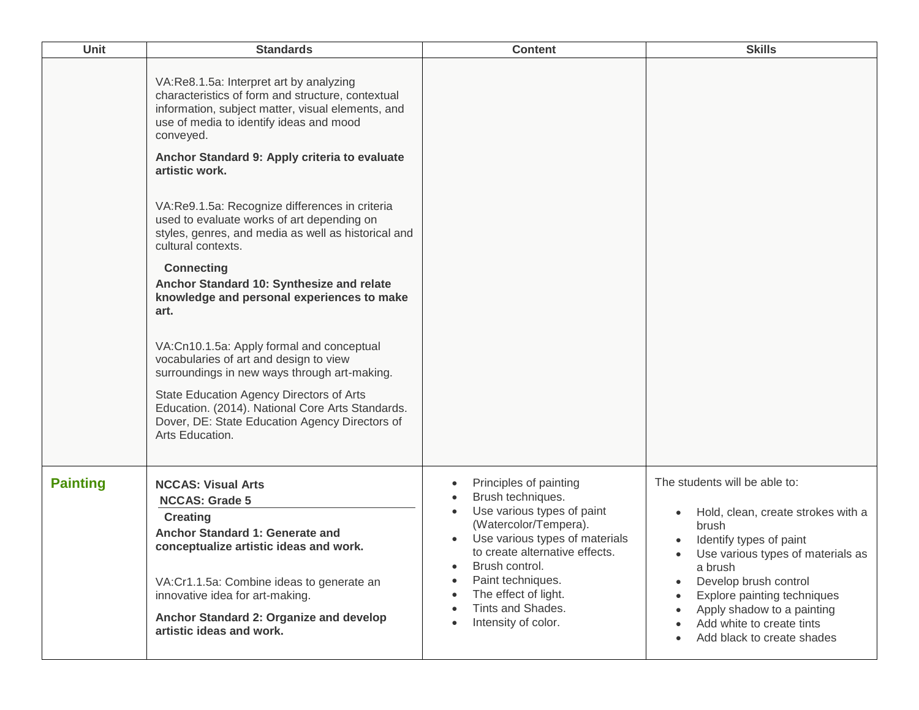| <b>Unit</b>     | <b>Standards</b>                                                                                                                                                                                          | <b>Content</b>                                                                                                                                                         | <b>Skills</b>                                                                                                                                            |
|-----------------|-----------------------------------------------------------------------------------------------------------------------------------------------------------------------------------------------------------|------------------------------------------------------------------------------------------------------------------------------------------------------------------------|----------------------------------------------------------------------------------------------------------------------------------------------------------|
|                 | VA:Re8.1.5a: Interpret art by analyzing<br>characteristics of form and structure, contextual<br>information, subject matter, visual elements, and<br>use of media to identify ideas and mood<br>conveyed. |                                                                                                                                                                        |                                                                                                                                                          |
|                 | Anchor Standard 9: Apply criteria to evaluate<br>artistic work.                                                                                                                                           |                                                                                                                                                                        |                                                                                                                                                          |
|                 | VA:Re9.1.5a: Recognize differences in criteria<br>used to evaluate works of art depending on<br>styles, genres, and media as well as historical and<br>cultural contexts.                                 |                                                                                                                                                                        |                                                                                                                                                          |
|                 | <b>Connecting</b><br>Anchor Standard 10: Synthesize and relate<br>knowledge and personal experiences to make<br>art.                                                                                      |                                                                                                                                                                        |                                                                                                                                                          |
|                 | VA:Cn10.1.5a: Apply formal and conceptual<br>vocabularies of art and design to view<br>surroundings in new ways through art-making.                                                                       |                                                                                                                                                                        |                                                                                                                                                          |
|                 | State Education Agency Directors of Arts<br>Education. (2014). National Core Arts Standards.<br>Dover, DE: State Education Agency Directors of<br>Arts Education.                                         |                                                                                                                                                                        |                                                                                                                                                          |
| <b>Painting</b> | <b>NCCAS: Visual Arts</b><br><b>NCCAS: Grade 5</b><br><b>Creating</b><br>Anchor Standard 1: Generate and<br>conceptualize artistic ideas and work.                                                        | Principles of painting<br>Brush techniques.<br>Use various types of paint<br>(Watercolor/Tempera).<br>Use various types of materials<br>to create alternative effects. | The students will be able to:<br>Hold, clean, create strokes with a<br>brush<br>Identify types of paint<br>Use various types of materials as             |
|                 | VA:Cr1.1.5a: Combine ideas to generate an<br>innovative idea for art-making.<br>Anchor Standard 2: Organize and develop<br>artistic ideas and work.                                                       | Brush control.<br>Paint techniques.<br>The effect of light.<br>Tints and Shades.<br>Intensity of color.                                                                | a brush<br>Develop brush control<br>Explore painting techniques<br>Apply shadow to a painting<br>Add white to create tints<br>Add black to create shades |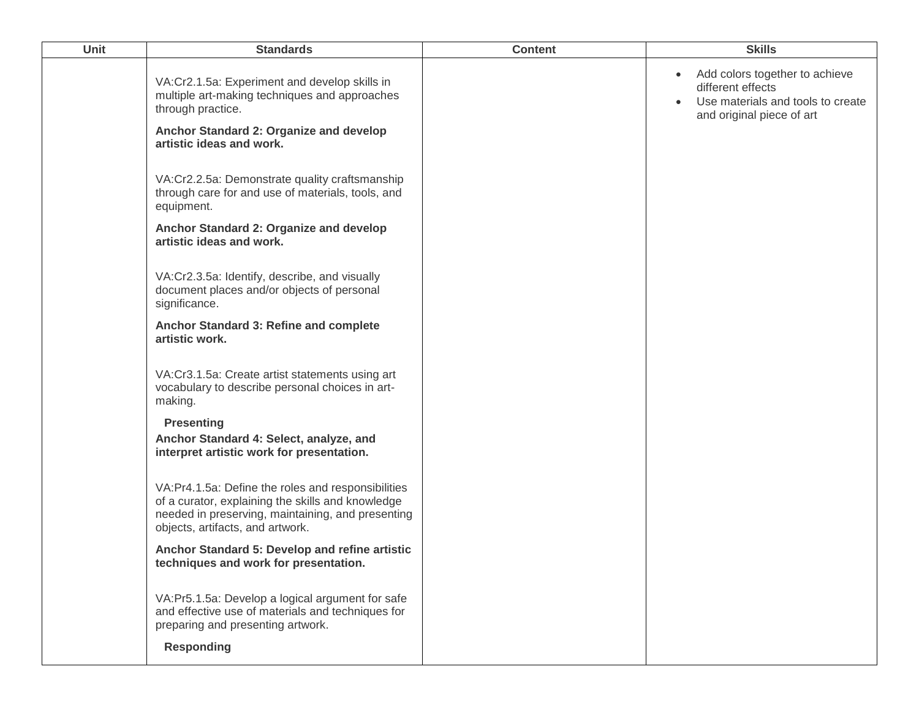| <b>Unit</b> | <b>Standards</b>                                                                                                                                                                                 | <b>Content</b> | <b>Skills</b>                                                                                                                      |
|-------------|--------------------------------------------------------------------------------------------------------------------------------------------------------------------------------------------------|----------------|------------------------------------------------------------------------------------------------------------------------------------|
|             | VA:Cr2.1.5a: Experiment and develop skills in<br>multiple art-making techniques and approaches<br>through practice.                                                                              |                | Add colors together to achieve<br>$\bullet$<br>different effects<br>Use materials and tools to create<br>and original piece of art |
|             | Anchor Standard 2: Organize and develop<br>artistic ideas and work.                                                                                                                              |                |                                                                                                                                    |
|             | VA:Cr2.2.5a: Demonstrate quality craftsmanship<br>through care for and use of materials, tools, and<br>equipment.                                                                                |                |                                                                                                                                    |
|             | Anchor Standard 2: Organize and develop<br>artistic ideas and work.                                                                                                                              |                |                                                                                                                                    |
|             | VA:Cr2.3.5a: Identify, describe, and visually<br>document places and/or objects of personal<br>significance.                                                                                     |                |                                                                                                                                    |
|             | Anchor Standard 3: Refine and complete<br>artistic work.                                                                                                                                         |                |                                                                                                                                    |
|             | VA:Cr3.1.5a: Create artist statements using art<br>vocabulary to describe personal choices in art-<br>making.                                                                                    |                |                                                                                                                                    |
|             | <b>Presenting</b><br>Anchor Standard 4: Select, analyze, and<br>interpret artistic work for presentation.                                                                                        |                |                                                                                                                                    |
|             | VA:Pr4.1.5a: Define the roles and responsibilities<br>of a curator, explaining the skills and knowledge<br>needed in preserving, maintaining, and presenting<br>objects, artifacts, and artwork. |                |                                                                                                                                    |
|             | Anchor Standard 5: Develop and refine artistic<br>techniques and work for presentation.                                                                                                          |                |                                                                                                                                    |
|             | VA:Pr5.1.5a: Develop a logical argument for safe<br>and effective use of materials and techniques for<br>preparing and presenting artwork.                                                       |                |                                                                                                                                    |
|             | <b>Responding</b>                                                                                                                                                                                |                |                                                                                                                                    |
|             |                                                                                                                                                                                                  |                |                                                                                                                                    |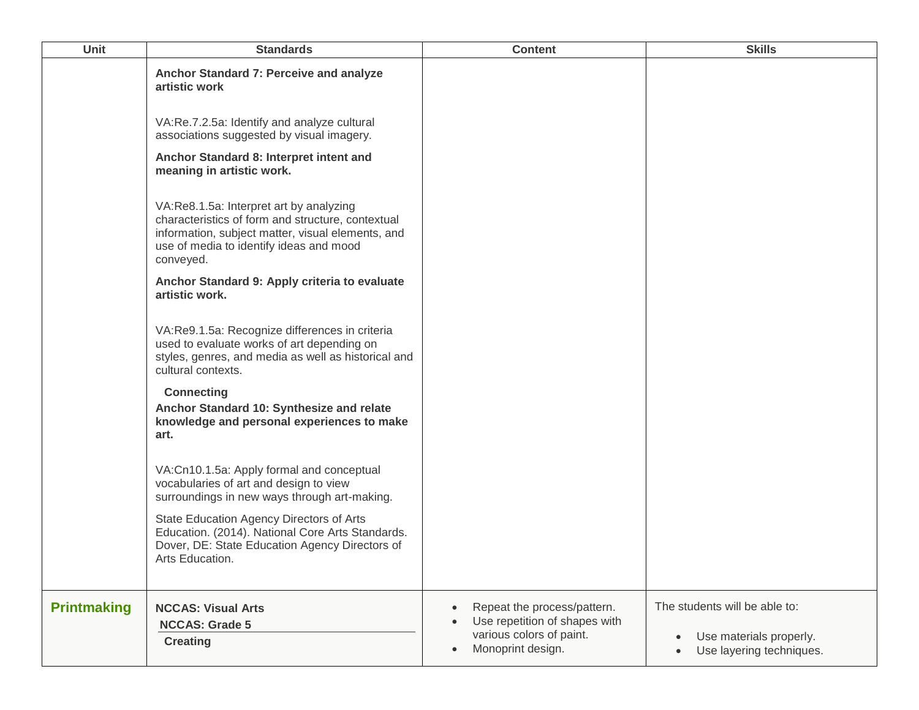| Unit               | <b>Standards</b>                                                                                                                                                                                          | <b>Content</b>                                                                                                                          | <b>Skills</b>                                                                        |
|--------------------|-----------------------------------------------------------------------------------------------------------------------------------------------------------------------------------------------------------|-----------------------------------------------------------------------------------------------------------------------------------------|--------------------------------------------------------------------------------------|
|                    | Anchor Standard 7: Perceive and analyze<br>artistic work                                                                                                                                                  |                                                                                                                                         |                                                                                      |
|                    | VA:Re.7.2.5a: Identify and analyze cultural<br>associations suggested by visual imagery.                                                                                                                  |                                                                                                                                         |                                                                                      |
|                    | Anchor Standard 8: Interpret intent and<br>meaning in artistic work.                                                                                                                                      |                                                                                                                                         |                                                                                      |
|                    | VA:Re8.1.5a: Interpret art by analyzing<br>characteristics of form and structure, contextual<br>information, subject matter, visual elements, and<br>use of media to identify ideas and mood<br>conveyed. |                                                                                                                                         |                                                                                      |
|                    | Anchor Standard 9: Apply criteria to evaluate<br>artistic work.                                                                                                                                           |                                                                                                                                         |                                                                                      |
|                    | VA:Re9.1.5a: Recognize differences in criteria<br>used to evaluate works of art depending on<br>styles, genres, and media as well as historical and<br>cultural contexts.                                 |                                                                                                                                         |                                                                                      |
|                    | <b>Connecting</b><br>Anchor Standard 10: Synthesize and relate<br>knowledge and personal experiences to make<br>art.                                                                                      |                                                                                                                                         |                                                                                      |
|                    | VA:Cn10.1.5a: Apply formal and conceptual<br>vocabularies of art and design to view<br>surroundings in new ways through art-making.                                                                       |                                                                                                                                         |                                                                                      |
|                    | State Education Agency Directors of Arts<br>Education. (2014). National Core Arts Standards.<br>Dover, DE: State Education Agency Directors of<br>Arts Education.                                         |                                                                                                                                         |                                                                                      |
| <b>Printmaking</b> | <b>NCCAS: Visual Arts</b><br><b>NCCAS: Grade 5</b><br><b>Creating</b>                                                                                                                                     | Repeat the process/pattern.<br>$\bullet$<br>Use repetition of shapes with<br>various colors of paint.<br>Monoprint design.<br>$\bullet$ | The students will be able to:<br>Use materials properly.<br>Use layering techniques. |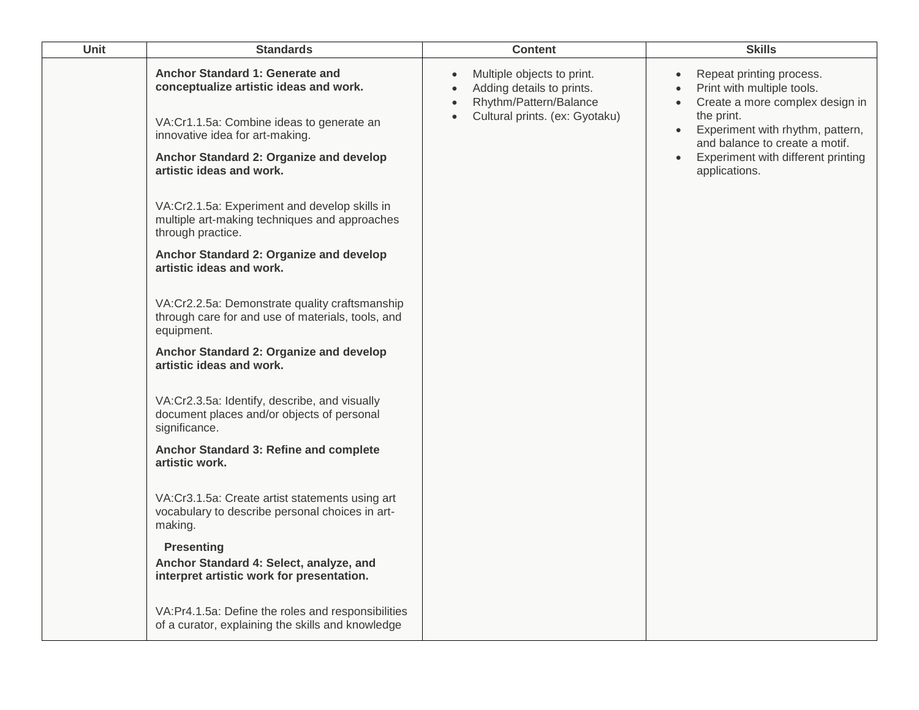| <b>Unit</b> | <b>Standards</b>                                                                                                                                          |                                                  | <b>Content</b>                                                                                                      |           | <b>Skills</b>                                                                                                                                                                 |
|-------------|-----------------------------------------------------------------------------------------------------------------------------------------------------------|--------------------------------------------------|---------------------------------------------------------------------------------------------------------------------|-----------|-------------------------------------------------------------------------------------------------------------------------------------------------------------------------------|
|             | Anchor Standard 1: Generate and<br>conceptualize artistic ideas and work.<br>VA:Cr1.1.5a: Combine ideas to generate an<br>innovative idea for art-making. | $\bullet$<br>$\bullet$<br>$\bullet$<br>$\bullet$ | Multiple objects to print.<br>Adding details to prints.<br>Rhythm/Pattern/Balance<br>Cultural prints. (ex: Gyotaku) | $\bullet$ | Repeat printing process.<br>Print with multiple tools.<br>Create a more complex design in<br>the print.<br>Experiment with rhythm, pattern,<br>and balance to create a motif. |
|             | Anchor Standard 2: Organize and develop<br>artistic ideas and work.                                                                                       |                                                  |                                                                                                                     | $\bullet$ | Experiment with different printing<br>applications.                                                                                                                           |
|             | VA:Cr2.1.5a: Experiment and develop skills in<br>multiple art-making techniques and approaches<br>through practice.                                       |                                                  |                                                                                                                     |           |                                                                                                                                                                               |
|             | Anchor Standard 2: Organize and develop<br>artistic ideas and work.                                                                                       |                                                  |                                                                                                                     |           |                                                                                                                                                                               |
|             | VA:Cr2.2.5a: Demonstrate quality craftsmanship<br>through care for and use of materials, tools, and<br>equipment.                                         |                                                  |                                                                                                                     |           |                                                                                                                                                                               |
|             | Anchor Standard 2: Organize and develop<br>artistic ideas and work.                                                                                       |                                                  |                                                                                                                     |           |                                                                                                                                                                               |
|             | VA:Cr2.3.5a: Identify, describe, and visually<br>document places and/or objects of personal<br>significance.                                              |                                                  |                                                                                                                     |           |                                                                                                                                                                               |
|             | Anchor Standard 3: Refine and complete<br>artistic work.                                                                                                  |                                                  |                                                                                                                     |           |                                                                                                                                                                               |
|             | VA:Cr3.1.5a: Create artist statements using art<br>vocabulary to describe personal choices in art-<br>making.                                             |                                                  |                                                                                                                     |           |                                                                                                                                                                               |
|             | <b>Presenting</b><br>Anchor Standard 4: Select, analyze, and                                                                                              |                                                  |                                                                                                                     |           |                                                                                                                                                                               |
|             | interpret artistic work for presentation.                                                                                                                 |                                                  |                                                                                                                     |           |                                                                                                                                                                               |
|             | VA:Pr4.1.5a: Define the roles and responsibilities<br>of a curator, explaining the skills and knowledge                                                   |                                                  |                                                                                                                     |           |                                                                                                                                                                               |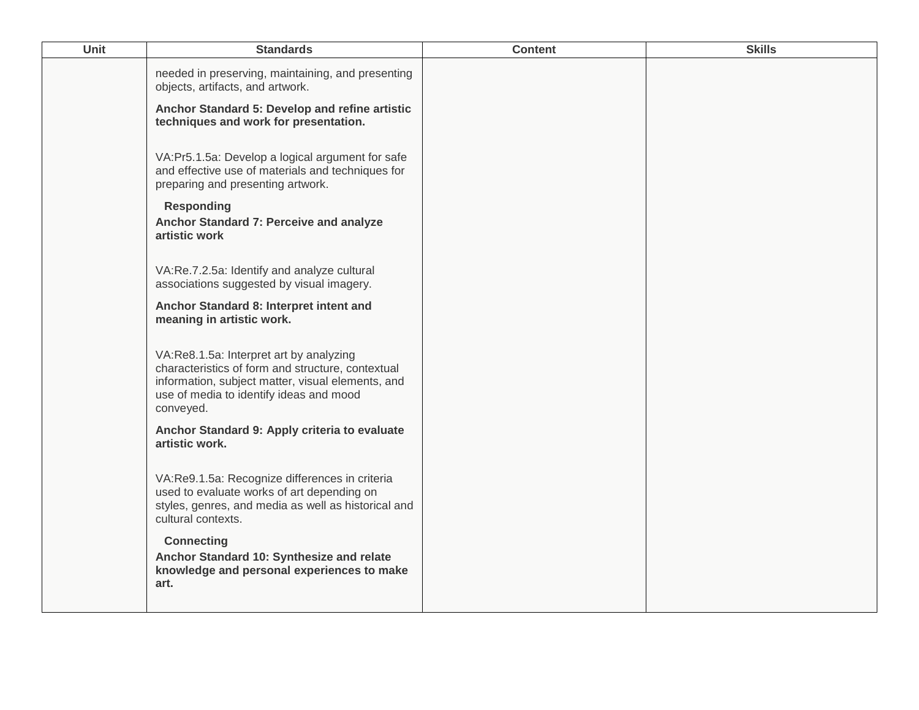| Unit | <b>Standards</b>                                                                                                                                                                                          | <b>Content</b> | <b>Skills</b> |
|------|-----------------------------------------------------------------------------------------------------------------------------------------------------------------------------------------------------------|----------------|---------------|
|      | needed in preserving, maintaining, and presenting<br>objects, artifacts, and artwork.                                                                                                                     |                |               |
|      | Anchor Standard 5: Develop and refine artistic<br>techniques and work for presentation.                                                                                                                   |                |               |
|      | VA:Pr5.1.5a: Develop a logical argument for safe<br>and effective use of materials and techniques for<br>preparing and presenting artwork.                                                                |                |               |
|      | <b>Responding</b><br>Anchor Standard 7: Perceive and analyze<br>artistic work                                                                                                                             |                |               |
|      | VA:Re.7.2.5a: Identify and analyze cultural<br>associations suggested by visual imagery.                                                                                                                  |                |               |
|      | Anchor Standard 8: Interpret intent and<br>meaning in artistic work.                                                                                                                                      |                |               |
|      | VA:Re8.1.5a: Interpret art by analyzing<br>characteristics of form and structure, contextual<br>information, subject matter, visual elements, and<br>use of media to identify ideas and mood<br>conveyed. |                |               |
|      | Anchor Standard 9: Apply criteria to evaluate<br>artistic work.                                                                                                                                           |                |               |
|      | VA:Re9.1.5a: Recognize differences in criteria<br>used to evaluate works of art depending on<br>styles, genres, and media as well as historical and<br>cultural contexts.                                 |                |               |
|      | <b>Connecting</b><br>Anchor Standard 10: Synthesize and relate<br>knowledge and personal experiences to make<br>art.                                                                                      |                |               |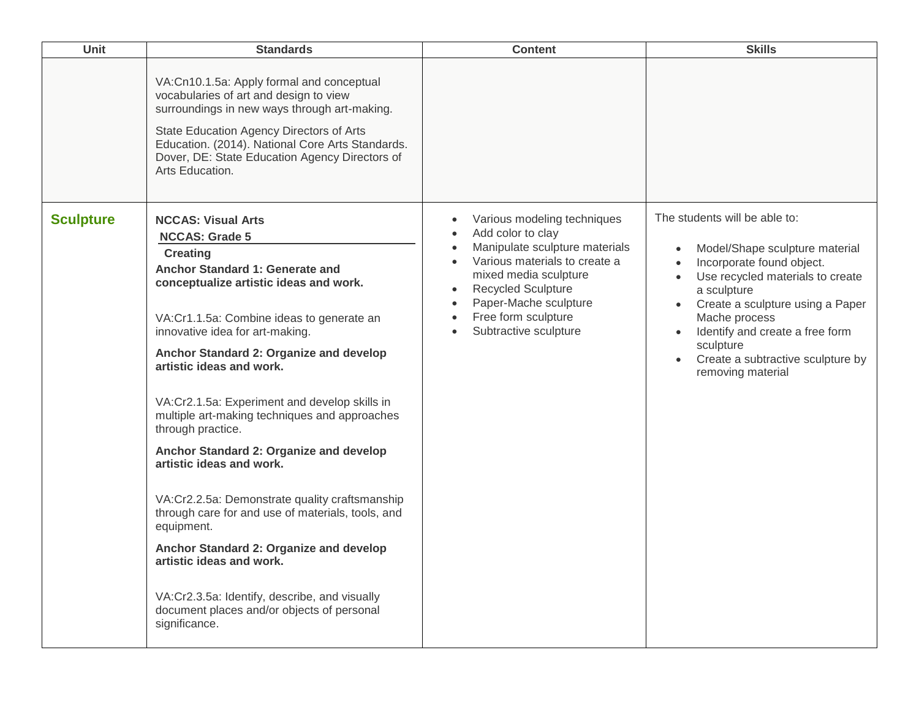| Unit             | <b>Standards</b>                                                                                                                                                                                                                                                                                                                                                                                                                                                                                                                                                                                                                                                                                                                                                                                                    | <b>Content</b>                                                                                                                                                                                                                                                                                                                                             | <b>Skills</b>                                                                                                                                                                                                                                                                                                  |
|------------------|---------------------------------------------------------------------------------------------------------------------------------------------------------------------------------------------------------------------------------------------------------------------------------------------------------------------------------------------------------------------------------------------------------------------------------------------------------------------------------------------------------------------------------------------------------------------------------------------------------------------------------------------------------------------------------------------------------------------------------------------------------------------------------------------------------------------|------------------------------------------------------------------------------------------------------------------------------------------------------------------------------------------------------------------------------------------------------------------------------------------------------------------------------------------------------------|----------------------------------------------------------------------------------------------------------------------------------------------------------------------------------------------------------------------------------------------------------------------------------------------------------------|
|                  | VA:Cn10.1.5a: Apply formal and conceptual<br>vocabularies of art and design to view<br>surroundings in new ways through art-making.<br>State Education Agency Directors of Arts<br>Education. (2014). National Core Arts Standards.<br>Dover, DE: State Education Agency Directors of<br>Arts Education.                                                                                                                                                                                                                                                                                                                                                                                                                                                                                                            |                                                                                                                                                                                                                                                                                                                                                            |                                                                                                                                                                                                                                                                                                                |
| <b>Sculpture</b> | <b>NCCAS: Visual Arts</b><br><b>NCCAS: Grade 5</b><br><b>Creating</b><br>Anchor Standard 1: Generate and<br>conceptualize artistic ideas and work.<br>VA:Cr1.1.5a: Combine ideas to generate an<br>innovative idea for art-making.<br>Anchor Standard 2: Organize and develop<br>artistic ideas and work.<br>VA:Cr2.1.5a: Experiment and develop skills in<br>multiple art-making techniques and approaches<br>through practice.<br>Anchor Standard 2: Organize and develop<br>artistic ideas and work.<br>VA:Cr2.2.5a: Demonstrate quality craftsmanship<br>through care for and use of materials, tools, and<br>equipment.<br>Anchor Standard 2: Organize and develop<br>artistic ideas and work.<br>VA:Cr2.3.5a: Identify, describe, and visually<br>document places and/or objects of personal<br>significance. | Various modeling techniques<br>$\bullet$<br>Add color to clay<br>$\bullet$<br>Manipulate sculpture materials<br>$\bullet$<br>Various materials to create a<br>$\bullet$<br>mixed media sculpture<br><b>Recycled Sculpture</b><br>$\bullet$<br>Paper-Mache sculpture<br>$\bullet$<br>Free form sculpture<br>$\bullet$<br>Subtractive sculpture<br>$\bullet$ | The students will be able to:<br>Model/Shape sculpture material<br>Incorporate found object.<br>Use recycled materials to create<br>a sculpture<br>Create a sculpture using a Paper<br>Mache process<br>Identify and create a free form<br>sculpture<br>Create a subtractive sculpture by<br>removing material |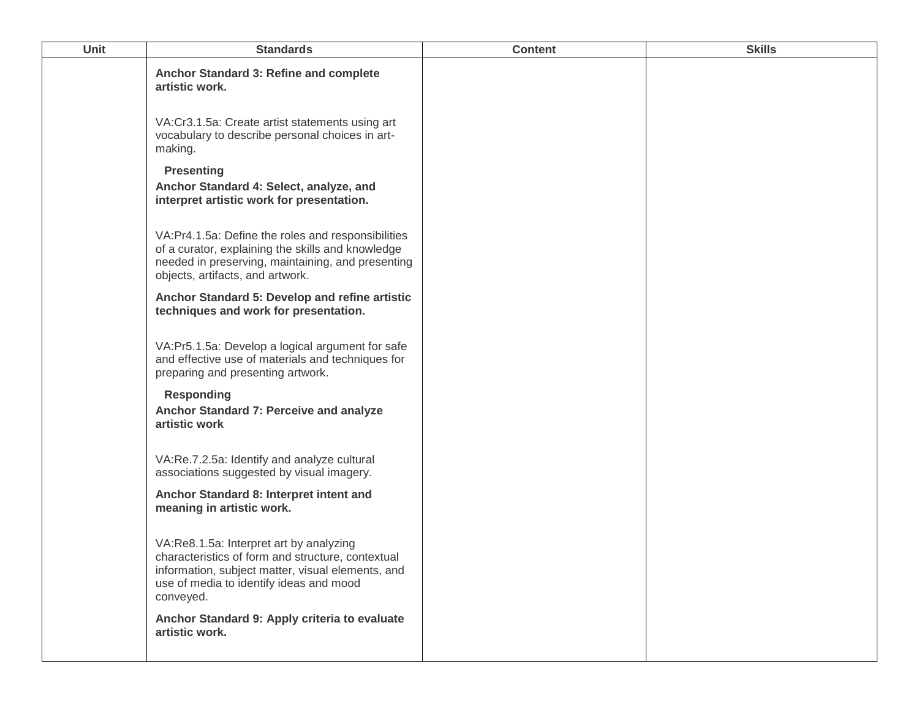| <b>Unit</b> | <b>Standards</b>                                                                                                                                                                                          | <b>Content</b> | <b>Skills</b> |
|-------------|-----------------------------------------------------------------------------------------------------------------------------------------------------------------------------------------------------------|----------------|---------------|
|             | Anchor Standard 3: Refine and complete<br>artistic work.                                                                                                                                                  |                |               |
|             | VA:Cr3.1.5a: Create artist statements using art<br>vocabulary to describe personal choices in art-<br>making.                                                                                             |                |               |
|             | <b>Presenting</b>                                                                                                                                                                                         |                |               |
|             | Anchor Standard 4: Select, analyze, and<br>interpret artistic work for presentation.                                                                                                                      |                |               |
|             | VA:Pr4.1.5a: Define the roles and responsibilities<br>of a curator, explaining the skills and knowledge<br>needed in preserving, maintaining, and presenting<br>objects, artifacts, and artwork.          |                |               |
|             | Anchor Standard 5: Develop and refine artistic<br>techniques and work for presentation.                                                                                                                   |                |               |
|             | VA:Pr5.1.5a: Develop a logical argument for safe<br>and effective use of materials and techniques for<br>preparing and presenting artwork.                                                                |                |               |
|             | <b>Responding</b><br>Anchor Standard 7: Perceive and analyze<br>artistic work                                                                                                                             |                |               |
|             | VA:Re.7.2.5a: Identify and analyze cultural<br>associations suggested by visual imagery.                                                                                                                  |                |               |
|             | Anchor Standard 8: Interpret intent and<br>meaning in artistic work.                                                                                                                                      |                |               |
|             | VA:Re8.1.5a: Interpret art by analyzing<br>characteristics of form and structure, contextual<br>information, subject matter, visual elements, and<br>use of media to identify ideas and mood<br>conveyed. |                |               |
|             | Anchor Standard 9: Apply criteria to evaluate<br>artistic work.                                                                                                                                           |                |               |
|             |                                                                                                                                                                                                           |                |               |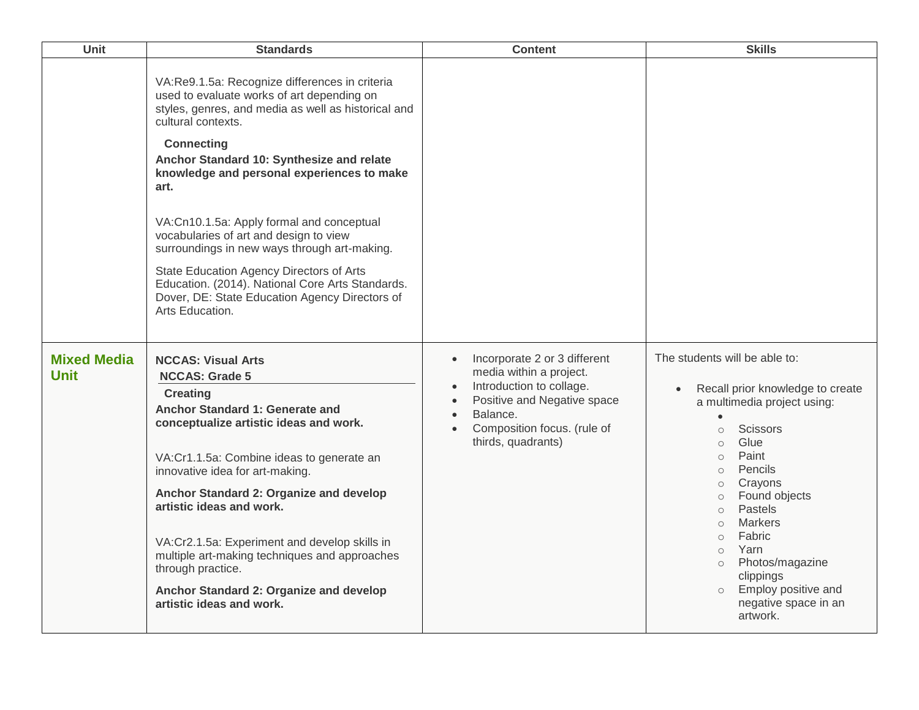| Unit                              | <b>Standards</b>                                                                                                                                                                                                                                                                                                                                                                                                                                                                                                                                                                           | <b>Content</b>                                                                                                                                                                                                                                       | <b>Skills</b>                                                                                                                                                                                                                                                                                                                                                                                                                                      |
|-----------------------------------|--------------------------------------------------------------------------------------------------------------------------------------------------------------------------------------------------------------------------------------------------------------------------------------------------------------------------------------------------------------------------------------------------------------------------------------------------------------------------------------------------------------------------------------------------------------------------------------------|------------------------------------------------------------------------------------------------------------------------------------------------------------------------------------------------------------------------------------------------------|----------------------------------------------------------------------------------------------------------------------------------------------------------------------------------------------------------------------------------------------------------------------------------------------------------------------------------------------------------------------------------------------------------------------------------------------------|
|                                   | VA:Re9.1.5a: Recognize differences in criteria<br>used to evaluate works of art depending on<br>styles, genres, and media as well as historical and<br>cultural contexts.<br><b>Connecting</b><br>Anchor Standard 10: Synthesize and relate<br>knowledge and personal experiences to make<br>art.<br>VA:Cn10.1.5a: Apply formal and conceptual<br>vocabularies of art and design to view<br>surroundings in new ways through art-making.<br>State Education Agency Directors of Arts<br>Education. (2014). National Core Arts Standards.<br>Dover, DE: State Education Agency Directors of |                                                                                                                                                                                                                                                      |                                                                                                                                                                                                                                                                                                                                                                                                                                                    |
|                                   | Arts Education.                                                                                                                                                                                                                                                                                                                                                                                                                                                                                                                                                                            |                                                                                                                                                                                                                                                      |                                                                                                                                                                                                                                                                                                                                                                                                                                                    |
| <b>Mixed Media</b><br><b>Unit</b> | <b>NCCAS: Visual Arts</b><br><b>NCCAS: Grade 5</b><br><b>Creating</b><br>Anchor Standard 1: Generate and<br>conceptualize artistic ideas and work.<br>VA:Cr1.1.5a: Combine ideas to generate an<br>innovative idea for art-making.<br>Anchor Standard 2: Organize and develop<br>artistic ideas and work.<br>VA:Cr2.1.5a: Experiment and develop skills in<br>multiple art-making techniques and approaches<br>through practice.<br>Anchor Standard 2: Organize and develop<br>artistic ideas and work.                                                                                    | Incorporate 2 or 3 different<br>$\bullet$<br>media within a project.<br>Introduction to collage.<br>$\bullet$<br>Positive and Negative space<br>$\bullet$<br>Balance.<br>$\bullet$<br>Composition focus. (rule of<br>$\bullet$<br>thirds, quadrants) | The students will be able to:<br>Recall prior knowledge to create<br>a multimedia project using:<br><b>Scissors</b><br>$\circ$<br>Glue<br>$\circ$<br>Paint<br>$\circ$<br>Pencils<br>$\circ$<br>Crayons<br>$\circ$<br>Found objects<br>$\circ$<br>Pastels<br>$\circ$<br>Markers<br>$\circ$<br>Fabric<br>$\circ$<br>Yarn<br>$\circ$<br>Photos/magazine<br>$\circ$<br>clippings<br>Employ positive and<br>$\circ$<br>negative space in an<br>artwork. |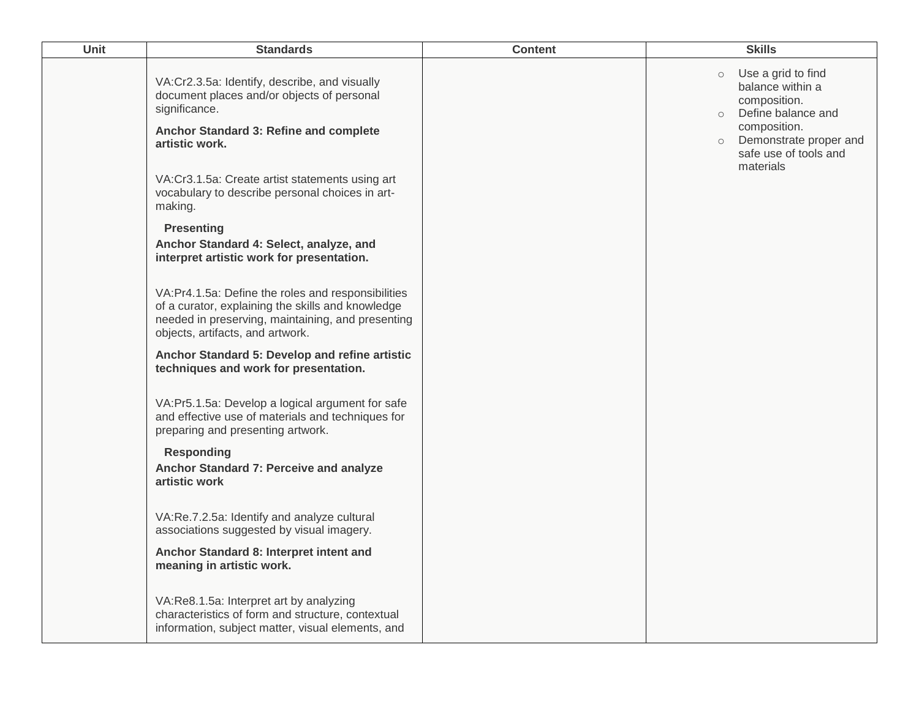| Unit | <b>Standards</b>                                                                                                                                                                                 | <b>Content</b> | <b>Skills</b>                                                                                                                                                                                 |
|------|--------------------------------------------------------------------------------------------------------------------------------------------------------------------------------------------------|----------------|-----------------------------------------------------------------------------------------------------------------------------------------------------------------------------------------------|
|      | VA:Cr2.3.5a: Identify, describe, and visually<br>document places and/or objects of personal<br>significance.<br>Anchor Standard 3: Refine and complete<br>artistic work.                         |                | Use a grid to find<br>$\circ$<br>balance within a<br>composition.<br>Define balance and<br>$\circ$<br>composition.<br>Demonstrate proper and<br>$\circ$<br>safe use of tools and<br>materials |
|      | VA:Cr3.1.5a: Create artist statements using art<br>vocabulary to describe personal choices in art-<br>making.                                                                                    |                |                                                                                                                                                                                               |
|      | <b>Presenting</b><br>Anchor Standard 4: Select, analyze, and<br>interpret artistic work for presentation.                                                                                        |                |                                                                                                                                                                                               |
|      | VA:Pr4.1.5a: Define the roles and responsibilities<br>of a curator, explaining the skills and knowledge<br>needed in preserving, maintaining, and presenting<br>objects, artifacts, and artwork. |                |                                                                                                                                                                                               |
|      | Anchor Standard 5: Develop and refine artistic<br>techniques and work for presentation.                                                                                                          |                |                                                                                                                                                                                               |
|      | VA:Pr5.1.5a: Develop a logical argument for safe<br>and effective use of materials and techniques for<br>preparing and presenting artwork.                                                       |                |                                                                                                                                                                                               |
|      | <b>Responding</b><br>Anchor Standard 7: Perceive and analyze<br>artistic work                                                                                                                    |                |                                                                                                                                                                                               |
|      | VA:Re.7.2.5a: Identify and analyze cultural<br>associations suggested by visual imagery.                                                                                                         |                |                                                                                                                                                                                               |
|      | Anchor Standard 8: Interpret intent and<br>meaning in artistic work.                                                                                                                             |                |                                                                                                                                                                                               |
|      | VA:Re8.1.5a: Interpret art by analyzing<br>characteristics of form and structure, contextual<br>information, subject matter, visual elements, and                                                |                |                                                                                                                                                                                               |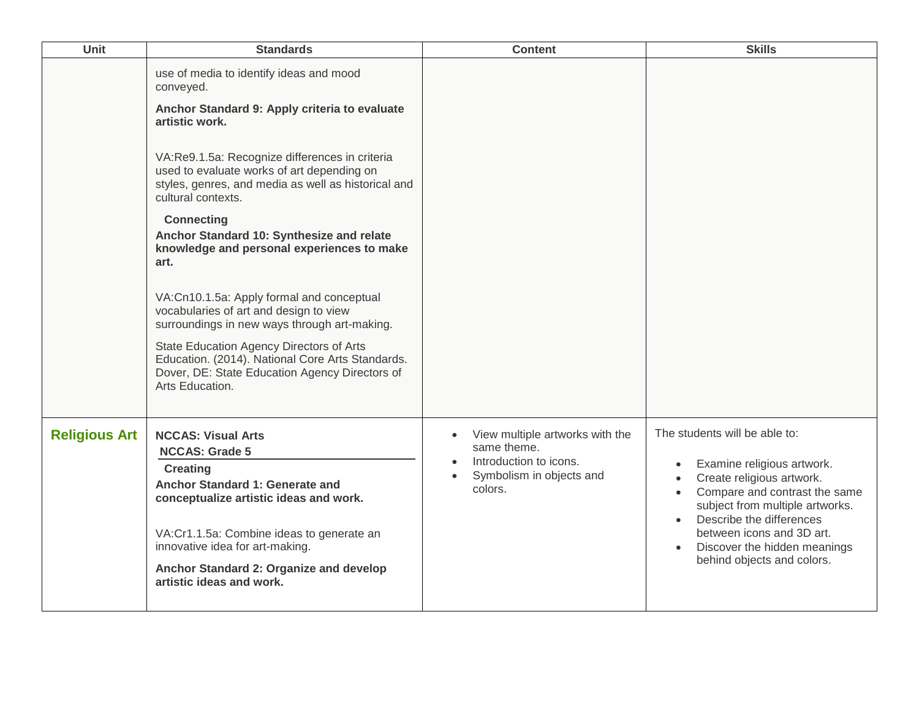| Unit                 | <b>Standards</b>                                                                                                                                                                                                                                                                                                                                                                                                                                                                                                                                                                                                                                                                                                                         | <b>Content</b>                                                                                                  | <b>Skills</b>                                                                                                                                                                                                                                                                       |
|----------------------|------------------------------------------------------------------------------------------------------------------------------------------------------------------------------------------------------------------------------------------------------------------------------------------------------------------------------------------------------------------------------------------------------------------------------------------------------------------------------------------------------------------------------------------------------------------------------------------------------------------------------------------------------------------------------------------------------------------------------------------|-----------------------------------------------------------------------------------------------------------------|-------------------------------------------------------------------------------------------------------------------------------------------------------------------------------------------------------------------------------------------------------------------------------------|
|                      | use of media to identify ideas and mood<br>conveyed.<br>Anchor Standard 9: Apply criteria to evaluate<br>artistic work.<br>VA:Re9.1.5a: Recognize differences in criteria<br>used to evaluate works of art depending on<br>styles, genres, and media as well as historical and<br>cultural contexts.<br><b>Connecting</b><br>Anchor Standard 10: Synthesize and relate<br>knowledge and personal experiences to make<br>art.<br>VA:Cn10.1.5a: Apply formal and conceptual<br>vocabularies of art and design to view<br>surroundings in new ways through art-making.<br>State Education Agency Directors of Arts<br>Education. (2014). National Core Arts Standards.<br>Dover, DE: State Education Agency Directors of<br>Arts Education. |                                                                                                                 |                                                                                                                                                                                                                                                                                     |
| <b>Religious Art</b> | <b>NCCAS: Visual Arts</b><br><b>NCCAS: Grade 5</b><br><b>Creating</b><br>Anchor Standard 1: Generate and<br>conceptualize artistic ideas and work.<br>VA:Cr1.1.5a: Combine ideas to generate an<br>innovative idea for art-making.<br>Anchor Standard 2: Organize and develop<br>artistic ideas and work.                                                                                                                                                                                                                                                                                                                                                                                                                                | View multiple artworks with the<br>same theme.<br>Introduction to icons.<br>Symbolism in objects and<br>colors. | The students will be able to:<br>Examine religious artwork.<br>Create religious artwork.<br>Compare and contrast the same<br>subject from multiple artworks.<br>Describe the differences<br>between icons and 3D art.<br>Discover the hidden meanings<br>behind objects and colors. |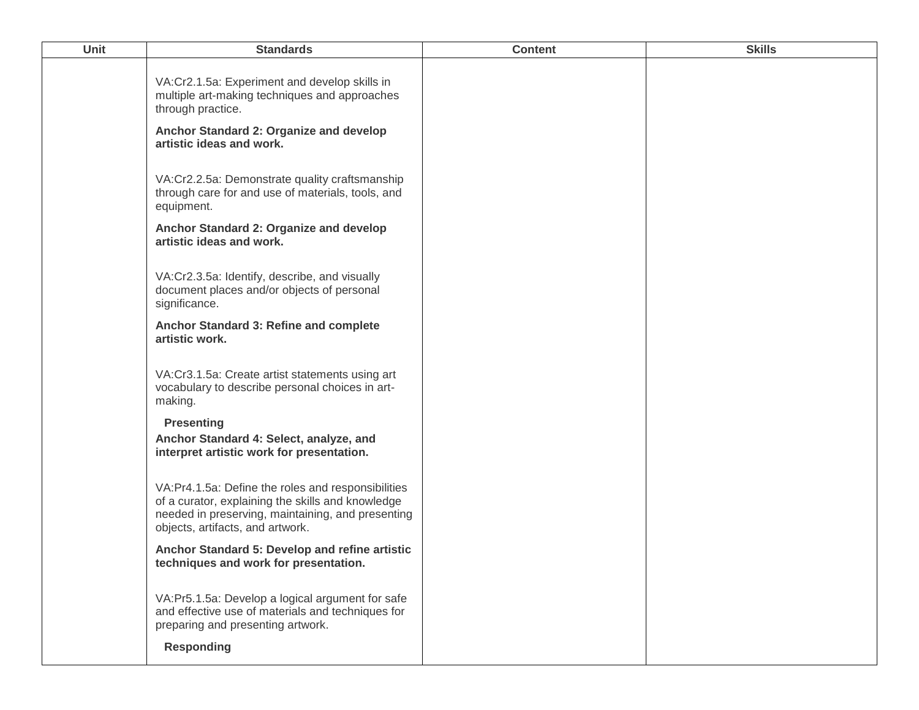| <b>Unit</b> | <b>Standards</b>                                                                                                                                                                                 | <b>Content</b> | <b>Skills</b> |
|-------------|--------------------------------------------------------------------------------------------------------------------------------------------------------------------------------------------------|----------------|---------------|
|             | VA:Cr2.1.5a: Experiment and develop skills in<br>multiple art-making techniques and approaches<br>through practice.                                                                              |                |               |
|             | Anchor Standard 2: Organize and develop<br>artistic ideas and work.                                                                                                                              |                |               |
|             | VA:Cr2.2.5a: Demonstrate quality craftsmanship<br>through care for and use of materials, tools, and<br>equipment.                                                                                |                |               |
|             | Anchor Standard 2: Organize and develop<br>artistic ideas and work.                                                                                                                              |                |               |
|             | VA:Cr2.3.5a: Identify, describe, and visually<br>document places and/or objects of personal<br>significance.                                                                                     |                |               |
|             | Anchor Standard 3: Refine and complete<br>artistic work.                                                                                                                                         |                |               |
|             | VA:Cr3.1.5a: Create artist statements using art<br>vocabulary to describe personal choices in art-<br>making.                                                                                    |                |               |
|             | <b>Presenting</b><br>Anchor Standard 4: Select, analyze, and<br>interpret artistic work for presentation.                                                                                        |                |               |
|             | VA:Pr4.1.5a: Define the roles and responsibilities<br>of a curator, explaining the skills and knowledge<br>needed in preserving, maintaining, and presenting<br>objects, artifacts, and artwork. |                |               |
|             | Anchor Standard 5: Develop and refine artistic<br>techniques and work for presentation.                                                                                                          |                |               |
|             | VA:Pr5.1.5a: Develop a logical argument for safe<br>and effective use of materials and techniques for<br>preparing and presenting artwork.                                                       |                |               |
|             | <b>Responding</b>                                                                                                                                                                                |                |               |
|             |                                                                                                                                                                                                  |                |               |